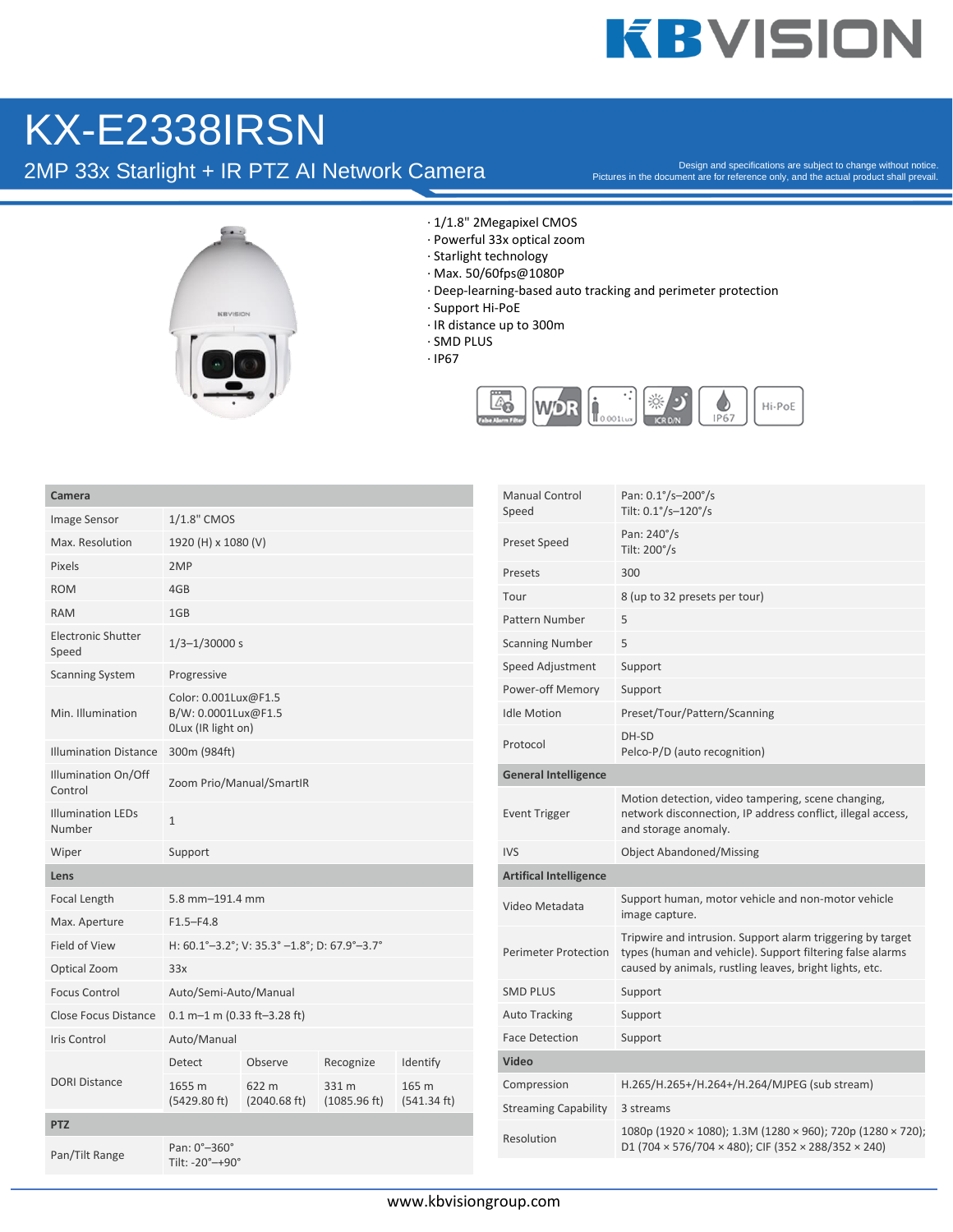## **KBVISION**

## KX-E2338IRSN

2MP 33x Starlight + IR PTZ AI Network Camera

Pictures in the document are for reference only, and the actual product shall prevail.



- · 1/1.8" 2Megapixel CMOS
- · Powerful 33x optical zoom
- · Starlight technology
- · Max. 50/60fps@1080P
- · Deep-learning-based auto tracking and perimeter protection
- · Support Hi-PoE
- · IR distance up to 300m
- · SMD PLUS
- · IP67



| Camera                                        |                                                     |                                 |                       |                      | <b>Manual Control</b><br>Speed | Pan: 0.1°/s-200°/s<br>Tilt: 0.1°/s-120°/s                                                                                                                                          |
|-----------------------------------------------|-----------------------------------------------------|---------------------------------|-----------------------|----------------------|--------------------------------|------------------------------------------------------------------------------------------------------------------------------------------------------------------------------------|
| Image Sensor                                  | 1/1.8" CMOS                                         |                                 |                       |                      |                                | Pan: 240°/s                                                                                                                                                                        |
| Max. Resolution                               | 1920 (H) x 1080 (V)                                 |                                 |                       |                      | Preset Speed                   | Tilt: 200°/s                                                                                                                                                                       |
| Pixels                                        | 2MP                                                 |                                 |                       |                      | Presets                        | 300                                                                                                                                                                                |
| <b>ROM</b>                                    | 4GB                                                 |                                 |                       |                      | Tour                           | 8 (up to 32 presets per tour)                                                                                                                                                      |
| <b>RAM</b>                                    | 1GB                                                 |                                 |                       |                      | <b>Pattern Number</b>          | 5                                                                                                                                                                                  |
| <b>Electronic Shutter</b><br>Speed            | $1/3 - 1/30000 s$                                   |                                 |                       |                      | <b>Scanning Number</b>         | 5                                                                                                                                                                                  |
| <b>Scanning System</b>                        | Progressive                                         |                                 |                       |                      | Speed Adjustment               | Support                                                                                                                                                                            |
|                                               | Color: 0.001Lux@F1.5<br>B/W: 0.0001Lux@F1.5         |                                 |                       |                      | Power-off Memory               | Support                                                                                                                                                                            |
| Min. Illumination                             |                                                     |                                 |                       |                      | <b>Idle Motion</b>             | Preset/Tour/Pattern/Scanning                                                                                                                                                       |
| <b>Illumination Distance</b>                  | OLux (IR light on)<br>300m (984ft)                  |                                 |                       |                      | Protocol                       | DH-SD<br>Pelco-P/D (auto recognition)                                                                                                                                              |
| Illumination On/Off                           | Zoom Prio/Manual/SmartIR                            |                                 |                       |                      | <b>General Intelligence</b>    |                                                                                                                                                                                    |
| Control<br><b>Illumination LEDs</b><br>Number | $\mathbf{1}$                                        |                                 |                       |                      | <b>Event Trigger</b>           | Motion detection, video tampering, scene changing,<br>network disconnection, IP address conflict, illegal access,<br>and storage anomaly.                                          |
| Wiper                                         | Support                                             |                                 |                       |                      | <b>IVS</b>                     | <b>Object Abandoned/Missing</b>                                                                                                                                                    |
| Lens                                          |                                                     |                                 |                       |                      | <b>Artifical Intelligence</b>  |                                                                                                                                                                                    |
| Focal Length                                  | 5.8 mm-191.4 mm                                     |                                 |                       |                      | Video Metadata                 | Support human, motor vehicle and non-motor vehicle<br>image capture.                                                                                                               |
| Max. Aperture                                 | $F1.5 - F4.8$                                       |                                 |                       |                      |                                | Tripwire and intrusion. Support alarm triggering by target<br>types (human and vehicle). Support filtering false alarms<br>caused by animals, rustling leaves, bright lights, etc. |
| Field of View<br>Optical Zoom                 | H: 60.1°-3.2°; V: 35.3° -1.8°; D: 67.9°-3.7°<br>33x |                                 |                       |                      | <b>Perimeter Protection</b>    |                                                                                                                                                                                    |
| <b>Focus Control</b>                          | Auto/Semi-Auto/Manual                               |                                 |                       |                      | <b>SMD PLUS</b>                | Support                                                                                                                                                                            |
| Close Focus Distance                          | $0.1 m - 1 m (0.33 ft - 3.28 ft)$                   |                                 |                       |                      | <b>Auto Tracking</b>           | Support                                                                                                                                                                            |
| Iris Control                                  | Auto/Manual                                         |                                 |                       |                      | <b>Face Detection</b>          | Support                                                                                                                                                                            |
|                                               | Detect                                              | Observe                         | Recognize             | Identify             | <b>Video</b>                   |                                                                                                                                                                                    |
| <b>DORI Distance</b>                          | 1655 m<br>(5429.80 ft)                              | 622 m<br>$(2040.68 \text{ ft})$ | 331 m<br>(1085.96 ft) | 165 m<br>(541.34 ft) | Compression                    | H.265/H.265+/H.264+/H.264/MJPEG (sub stream)                                                                                                                                       |
|                                               |                                                     |                                 |                       |                      | <b>Streaming Capability</b>    | 3 streams                                                                                                                                                                          |
| <b>PTZ</b>                                    |                                                     |                                 |                       |                      | Resolution                     | 1080p (1920 × 1080); 1.3M (1280 × 960); 720p (1280 × 720);                                                                                                                         |
| Pan/Tilt Range                                | Pan: 0°-360°<br>Tilt: -20°-+90°                     |                                 |                       |                      |                                | D1 (704 × 576/704 × 480); CIF (352 × 288/352 × 240)                                                                                                                                |